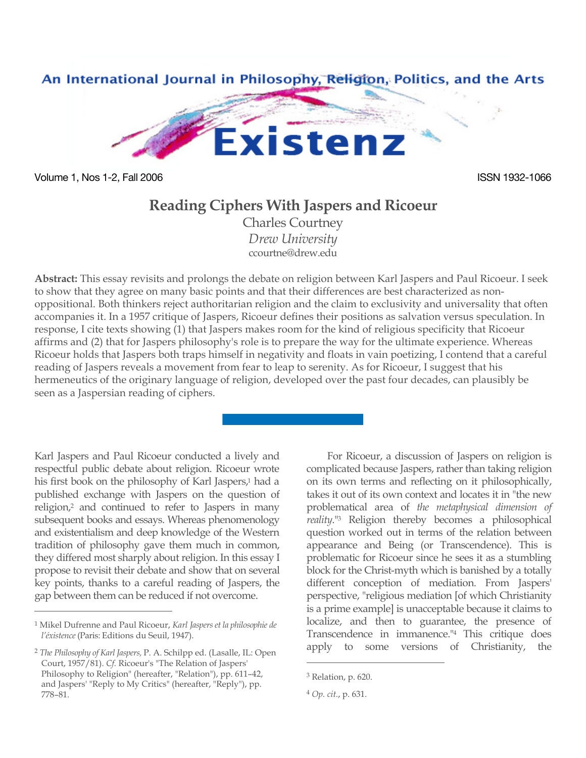

Volume 1, Nos 1-2, Fall 2006 **ISSN 1932-1066** ISSN 1932-1066

## **Reading Ciphers With Jaspers and Ricoeur**

Charles Courtney *Drew University* ccourtne@drew.edu

**Abstract:** This essay revisits and prolongs the debate on religion between Karl Jaspers and Paul Ricoeur. I seek to show that they agree on many basic points and that their differences are best characterized as nonoppositional. Both thinkers reject authoritarian religion and the claim to exclusivity and universality that often accompanies it. In a 1957 critique of Jaspers, Ricoeur defines their positions as salvation versus speculation. In response, I cite texts showing (1) that Jaspers makes room for the kind of religious specificity that Ricoeur affirms and (2) that for Jaspers philosophy's role is to prepare the way for the ultimate experience. Whereas Ricoeur holds that Jaspers both traps himself in negativity and floats in vain poetizing, I contend that a careful reading of Jaspers reveals a movement from fear to leap to serenity. As for Ricoeur, I suggest that his hermeneutics of the originary language of religion, developed over the past four decades, can plausibly be seen as a Jaspersian reading of ciphers.

Karl Jaspers and Paul Ricoeur conducted a lively and respectful public debate about religion. Ricoeur wrote his first book on the philosophy of Karl Jaspers,<sup>1</sup> had a published exchange with Jaspers on the question of religion,2 and continued to refer to Jaspers in many subsequent books and essays. Whereas phenomenology and existentialism and deep knowledge of the Western tradition of philosophy gave them much in common, they differed most sharply about religion. In this essay I propose to revisit their debate and show that on several key points, thanks to a careful reading of Jaspers, the gap between them can be reduced if not overcome.

 $\overline{a}$ 

For Ricoeur, a discussion of Jaspers on religion is complicated because Jaspers, rather than taking religion on its own terms and reflecting on it philosophically, takes it out of its own context and locates it in "the new problematical area of *the metaphysical dimension of reality*."3 Religion thereby becomes a philosophical question worked out in terms of the relation between appearance and Being (or Transcendence). This is problematic for Ricoeur since he sees it as a stumbling block for the Christ-myth which is banished by a totally different conception of mediation. From Jaspers' perspective, "religious mediation [of which Christianity is a prime example] is unacceptable because it claims to localize, and then to guarantee, the presence of Transcendence in immanence."4 This critique does apply to some versions of Christianity, the

<sup>1</sup> Mikel Dufrenne and Paul Ricoeur, *Karl Jaspers et la philosophie de l'éxistence* (Paris: Editions du Seuil, 1947).

<sup>2</sup> *The Philosophy of Karl Jaspers,* P. A. Schilpp ed. (Lasalle, IL: Open Court, 1957/81). *Cf.* Ricoeur's "The Relation of Jaspers' Philosophy to Religion" (hereafter, "Relation"), pp. 611–42, and Jaspers' "Reply to My Critics" (hereafter, "Reply"), pp. 778–81.

<sup>3</sup> Relation, p. 620.

<sup>4</sup> *Op. cit.*, p. 631.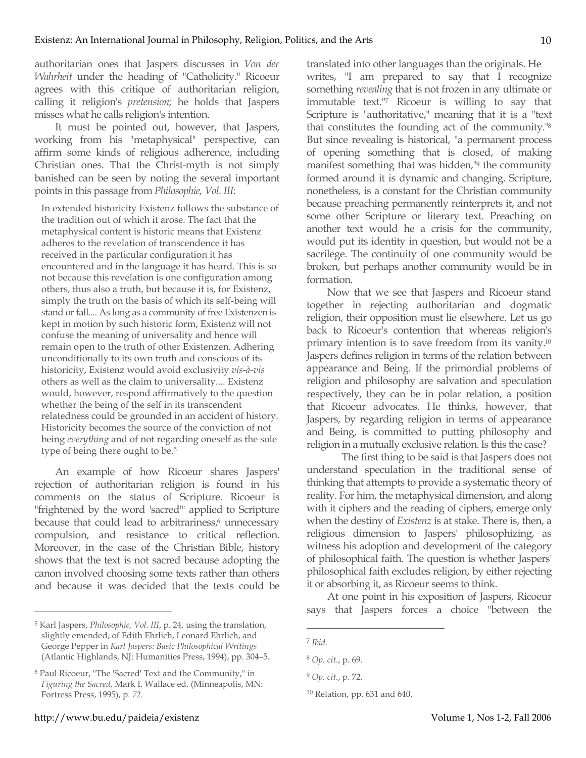authoritarian ones that Jaspers discusses in *Von der Wahrheit* under the heading of "Catholicity." Ricoeur agrees with this critique of authoritarian religion, calling it religion's *pretension;* he holds that Jaspers misses what he calls religion's intention.

It must be pointed out, however, that Jaspers, working from his "metaphysical" perspective, can affirm some kinds of religious adherence, including Christian ones. That the Christ-myth is not simply banished can be seen by noting the several important points in this passage from *Philosophie, Vol. III*:

In extended historicity Existenz follows the substance of the tradition out of which it arose. The fact that the metaphysical content is historic means that Existenz adheres to the revelation of transcendence it has received in the particular configuration it has encountered and in the language it has heard. This is so not because this revelation is one configuration among others, thus also a truth, but because it is, for Existenz, simply the truth on the basis of which its self-being will stand or fall.... As long as a community of free Existenzen is kept in motion by such historic form, Existenz will not confuse the meaning of universality and hence will remain open to the truth of other Existenzen. Adhering unconditionally to its own truth and conscious of its historicity, Existenz would avoid exclusivity *vis-à-vis* others as well as the claim to universality.... Existenz would, however, respond affirmatively to the question whether the being of the self in its transcendent relatedness could be grounded in an accident of history. Historicity becomes the source of the conviction of not being *everything* and of not regarding oneself as the sole type of being there ought to be.<sup>5</sup>

An example of how Ricoeur shares Jaspers' rejection of authoritarian religion is found in his comments on the status of Scripture. Ricoeur is "frightened by the word 'sacred'" applied to Scripture because that could lead to arbitrariness,<sup>6</sup> unnecessary compulsion, and resistance to critical reflection. Moreover, in the case of the Christian Bible, history shows that the text is not sacred because adopting the canon involved choosing some texts rather than others and because it was decided that the texts could be translated into other languages than the originals. He writes, "I am prepared to say that I recognize something *revealing* that is not frozen in any ultimate or immutable text."7 Ricoeur is willing to say that Scripture is "authoritative," meaning that it is a "text that constitutes the founding act of the community."8 But since revealing is historical, "a permanent process of opening something that is closed, of making manifest something that was hidden,"9 the community formed around it is dynamic and changing. Scripture, nonetheless, is a constant for the Christian community because preaching permanently reinterprets it, and not some other Scripture or literary text. Preaching on another text would he a crisis for the community, would put its identity in question, but would not be a sacrilege. The continuity of one community would be broken, but perhaps another community would be in formation.

Now that we see that Jaspers and Ricoeur stand together in rejecting authoritarian and dogmatic religion, their opposition must lie elsewhere. Let us go back to Ricoeur's contention that whereas religion's primary intention is to save freedom from its vanity.10 Jaspers defines religion in terms of the relation between appearance and Being. If the primordial problems of religion and philosophy are salvation and speculation respectively, they can be in polar relation, a position that Ricoeur advocates. He thinks, however, that Jaspers, by regarding religion in terms of appearance and Being, is committed to putting philosophy and religion in a mutually exclusive relation. Is this the case?

The first thing to be said is that Jaspers does not understand speculation in the traditional sense of thinking that attempts to provide a systematic theory of reality. For him, the metaphysical dimension, and along with it ciphers and the reading of ciphers, emerge only when the destiny of *Existenz* is at stake. There is, then, a religious dimension to Jaspers' philosophizing, as witness his adoption and development of the category of philosophical faith. The question is whether Jaspers' philosophical faith excludes religion, by either rejecting it or absorbing it, as Ricoeur seems to think.

At one point in his exposition of Jaspers, Ricoeur says that Jaspers forces a choice "between the

 $\overline{a}$ 

<sup>5</sup> Karl Jaspers, *Philosophie, Vol. III*, p. 24, using the translation, slightly emended, of Edith Ehrlich, Leonard Ehrlich, and George Pepper in *Karl Jaspers: Basic Philosophical Writings* (Atlantic Highlands, NJ: Humanities Press, 1994), pp. 304–5.

<sup>6</sup> Paul Ricoeur, "The 'Sacred' Text and the Community," in *Figuring the Sacred*, Mark I. Wallace ed. (Minneapolis, MN: Fortress Press, 1995), p. *72.*

<sup>7</sup> *Ibid.*

<sup>8</sup> *Op. cit.*, p. 69.

<sup>9</sup> *Op. cit.*, p. 72.

<sup>10</sup> Relation, pp. 631 and 640.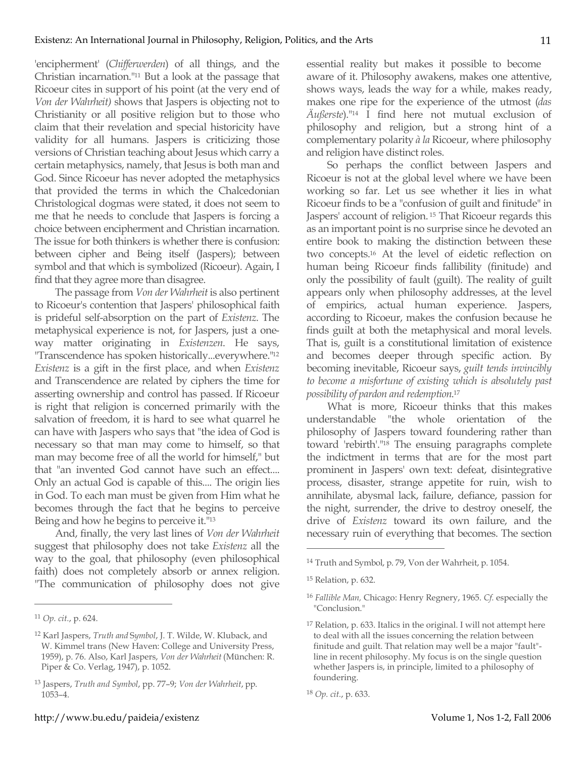'encipherment' (*Chifferwerden*) of all things, and the Christian incarnation."11 But a look at the passage that Ricoeur cites in support of his point (at the very end of *Von der Wahrheit)* shows that Jaspers is objecting not to Christianity or all positive religion but to those who claim that their revelation and special historicity have validity for all humans. Jaspers is criticizing those versions of Christian teaching about Jesus which carry a certain metaphysics, namely, that Jesus is both man and God. Since Ricoeur has never adopted the metaphysics that provided the terms in which the Chalcedonian Christological dogmas were stated, it does not seem to me that he needs to conclude that Jaspers is forcing a choice between encipherment and Christian incarnation. The issue for both thinkers is whether there is confusion: between cipher and Being itself (Jaspers); between symbol and that which is symbolized (Ricoeur). Again, I find that they agree more than disagree.

The passage from *Von der Wahrheit* is also pertinent to Ricoeur's contention that Jaspers' philosophical faith is prideful self-absorption on the part of *Existenz*. The metaphysical experience is not, for Jaspers, just a oneway matter originating in *Existenzen*. He says, "Transcendence has spoken historically...everywhere."12 *Existenz* is a gift in the first place, and when *Existenz* and Transcendence are related by ciphers the time for asserting ownership and control has passed. If Ricoeur is right that religion is concerned primarily with the salvation of freedom, it is hard to see what quarrel he can have with Jaspers who says that "the idea of God is necessary so that man may come to himself, so that man may become free of all the world for himself," but that "an invented God cannot have such an effect.... Only an actual God is capable of this.... The origin lies in God. To each man must be given from Him what he becomes through the fact that he begins to perceive Being and how he begins to perceive it."13

And, finally, the very last lines of *Von der Wahrheit* suggest that philosophy does not take *Existenz* all the way to the goal, that philosophy (even philosophical faith) does not completely absorb or annex religion. "The communication of philosophy does not give

 $\overline{a}$ 

essential reality but makes it possible to become aware of it. Philosophy awakens, makes one attentive, shows ways, leads the way for a while, makes ready, makes one ripe for the experience of the utmost (*das Äußerste*)."14 I find here not mutual exclusion of philosophy and religion, but a strong hint of a complementary polarity *à la* Ricoeur, where philosophy and religion have distinct roles.

So perhaps the conflict between Jaspers and Ricoeur is not at the global level where we have been working so far. Let us see whether it lies in what Ricoeur finds to be a "confusion of guilt and finitude" in Jaspers' account of religion. 15 That Ricoeur regards this as an important point is no surprise since he devoted an entire book to making the distinction between these two concepts.16 At the level of eidetic reflection on human being Ricoeur finds fallibility (finitude) and only the possibility of fault (guilt). The reality of guilt appears only when philosophy addresses, at the level of empirics, actual human experience. Jaspers, according to Ricoeur, makes the confusion because he finds guilt at both the metaphysical and moral levels. That is, guilt is a constitutional limitation of existence and becomes deeper through specific action. By becoming inevitable, Ricoeur says, *guilt tends invincibly to become a misfortune of existing which is absolutely past possibility of pardon and redemption*. 17

What is more, Ricoeur thinks that this makes understandable "the whole orientation of the philosophy of Jaspers toward foundering rather than toward 'rebirth'."18 The ensuing paragraphs complete the indictment in terms that are for the most part prominent in Jaspers' own text: defeat, disintegrative process, disaster, strange appetite for ruin, wish to annihilate, abysmal lack, failure, defiance, passion for the night, surrender, the drive to destroy oneself, the drive of *Existenz* toward its own failure, and the necessary ruin of everything that becomes. The section

<sup>11</sup> *Op. cit.*, p. 624.

<sup>12</sup> Karl Jaspers, *Truth and* S*ymbol*, J. T. Wilde, W. Kluback, and W. Kimmel trans (New Haven: College and University Press, 1959), p. 76. Also, Karl Jaspers, *Von der Wahrheit* (München: R. Piper & Co. Verlag, 1947), p. 1052.

<sup>13</sup> Jaspers, *Truth and Symbol*, pp. 77–9; *Von der Wahrheit*, pp. 1053–4.

<sup>14</sup> Truth and Symbol, p. 79, Von der Wahrheit, p. 1054.

<sup>15</sup> Relation, p. 632.

<sup>16</sup> *Fallible Man,* Chicago: Henry Regnery, 1965. *Cf.* especially the "Conclusion."

<sup>17</sup> Relation, p. 633. Italics in the original. I will not attempt here to deal with all the issues concerning the relation between finitude and guilt. That relation may well be a major "fault" line in recent philosophy. My focus is on the single question whether Jaspers is, in principle, limited to a philosophy of foundering.

<sup>18</sup> *Op. cit.*, p. 633.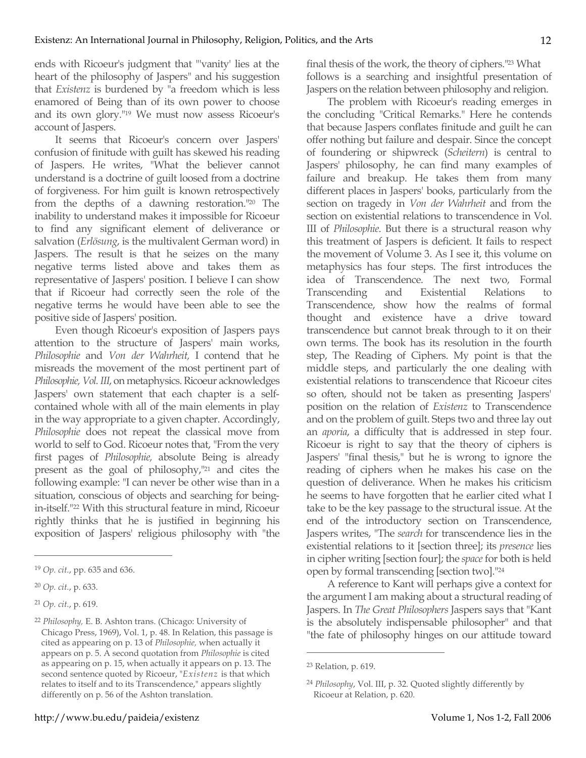ends with Ricoeur's judgment that "'vanity' lies at the heart of the philosophy of Jaspers" and his suggestion that *Existenz* is burdened by "a freedom which is less enamored of Being than of its own power to choose and its own glory."19 We must now assess Ricoeur's account of Jaspers.

It seems that Ricoeur's concern over Jaspers' confusion of finitude with guilt has skewed his reading of Jaspers. He writes, "What the believer cannot understand is a doctrine of guilt loosed from a doctrine of forgiveness. For him guilt is known retrospectively from the depths of a dawning restoration."20 The inability to understand makes it impossible for Ricoeur to find any significant element of deliverance or salvation (*Erlösung*, is the multivalent German word) in Jaspers. The result is that he seizes on the many negative terms listed above and takes them as representative of Jaspers' position. I believe I can show that if Ricoeur had correctly seen the role of the negative terms he would have been able to see the positive side of Jaspers' position.

Even though Ricoeur's exposition of Jaspers pays attention to the structure of Jaspers' main works, *Philosophie* and *Von der Wahrheit,* I contend that he misreads the movement of the most pertinent part of *Philosophie, Vol. III*, on metaphysics. Ricoeur acknowledges Jaspers' own statement that each chapter is a selfcontained whole with all of the main elements in play in the way appropriate to a given chapter. Accordingly, *Philosophie* does not repeat the classical move from world to self to God. Ricoeur notes that, "From the very first pages of *Philosophie,* absolute Being is already present as the goal of philosophy,"21 and cites the following example: "I can never be other wise than in a situation, conscious of objects and searching for beingin-itself."22 With this structural feature in mind, Ricoeur rightly thinks that he is justified in beginning his exposition of Jaspers' religious philosophy with "the

 $\overline{a}$ 

final thesis of the work, the theory of ciphers."23 What follows is a searching and insightful presentation of Jaspers on the relation between philosophy and religion.

The problem with Ricoeur's reading emerges in the concluding "Critical Remarks." Here he contends that because Jaspers conflates finitude and guilt he can offer nothing but failure and despair. Since the concept of foundering or shipwreck (*Scheitern*) is central to Jaspers' philosophy, he can find many examples of failure and breakup. He takes them from many different places in Jaspers' books, particularly from the section on tragedy in *Von der Wahrheit* and from the section on existential relations to transcendence in Vol. III of *Philosophie*. But there is a structural reason why this treatment of Jaspers is deficient. It fails to respect the movement of Volume 3. As I see it, this volume on metaphysics has four steps. The first introduces the idea of Transcendence. The next two, Formal Transcending and Existential Relations to Transcendence, show how the realms of formal thought and existence have a drive toward transcendence but cannot break through to it on their own terms. The book has its resolution in the fourth step, The Reading of Ciphers. My point is that the middle steps, and particularly the one dealing with existential relations to transcendence that Ricoeur cites so often, should not be taken as presenting Jaspers' position on the relation of *Existenz* to Transcendence and on the problem of guilt. Steps two and three lay out an *aporia*, a difficulty that is addressed in step four. Ricoeur is right to say that the theory of ciphers is Jaspers' "final thesis," but he is wrong to ignore the reading of ciphers when he makes his case on the question of deliverance. When he makes his criticism he seems to have forgotten that he earlier cited what I take to be the key passage to the structural issue. At the end of the introductory section on Transcendence, Jaspers writes, "The *search* for transcendence lies in the existential relations to it [section three]; its *presence* lies in cipher writing [section four]; the *space* for both is held open by formal transcending [section two]."24

A reference to Kant will perhaps give a context for the argument I am making about a structural reading of Jaspers. In *The Great Philosophers* Jaspers says that "Kant is the absolutely indispensable philosopher" and that "the fate of philosophy hinges on our attitude toward

<sup>19</sup> *Op. cit.*, pp. 635 and 636.

<sup>20</sup> *Op. cit.*, p. 633.

<sup>21</sup> *Op. cit.*, p. 619.

<sup>22</sup> *Philosophy,* E. B. Ashton trans. (Chicago: University of Chicago Press, 1969), Vol. 1, p. 48. In Relation, this passage is cited as appearing on p. 13 of *Philosophie,* when actually it appears on p. 5. A second quotation from *Philosophie* is cited as appearing on p. 15, when actually it appears on p. 13. The second sentence quoted by Ricoeur, "*Existenz* is that which relates to itself and to its Transcendence," appears slightly differently on p. 56 of the Ashton translation.

<sup>23</sup> Relation, p. 619.

<sup>24</sup> *Philosophy*, Vol. III, p. 32*.* Quoted slightly differently by Ricoeur at Relation, p. 620.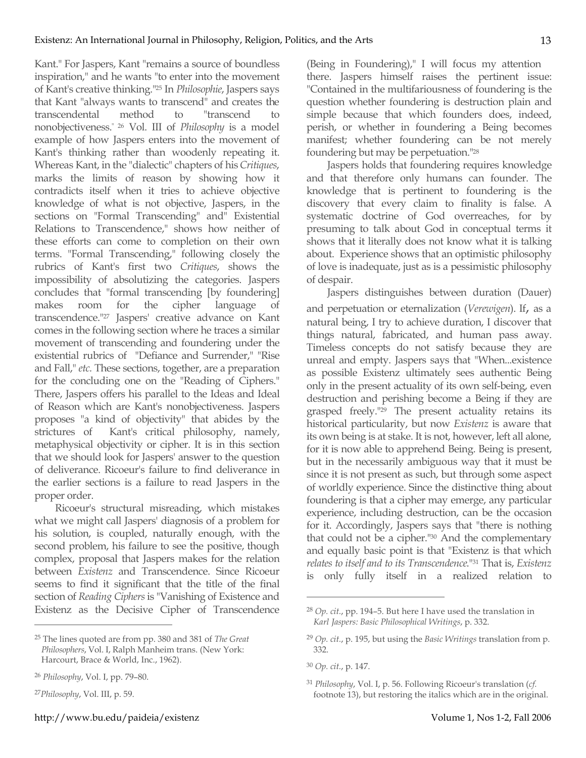Kant." For Jaspers, Kant "remains a source of boundless inspiration," and he wants "to enter into the movement of Kant's creative thinking."25 In *Philosophie*, Jaspers says that Kant "always wants to transcend" and creates the transcendental method to "transcend to nonobjectiveness." 26 Vol. III of *Philosophy* is a model example of how Jaspers enters into the movement of Kant's thinking rather than woodenly repeating it. Whereas Kant, in the "dialectic" chapters of his *Critiques*, marks the limits of reason by showing how it contradicts itself when it tries to achieve objective knowledge of what is not objective, Jaspers, in the sections on "Formal Transcending" and" Existential Relations to Transcendence," shows how neither of these efforts can come to completion on their own terms. "Formal Transcending," following closely the rubrics of Kant's first two *Critiques*, shows the impossibility of absolutizing the categories. Jaspers concludes that "formal transcending [by foundering] makes room for the cipher language of transcendence."27 Jaspers' creative advance on Kant comes in the following section where he traces a similar movement of transcending and foundering under the existential rubrics of "Defiance and Surrender," "Rise and Fall," *etc.* These sections, together, are a preparation for the concluding one on the "Reading of Ciphers." There, Jaspers offers his parallel to the Ideas and Ideal of Reason which are Kant's nonobjectiveness. Jaspers proposes "a kind of objectivity" that abides by the strictures of Kant's critical philosophy, namely, metaphysical objectivity or cipher. It is in this section that we should look for Jaspers' answer to the question of deliverance. Ricoeur's failure to find deliverance in the earlier sections is a failure to read Jaspers in the proper order.

Ricoeur's structural misreading, which mistakes what we might call Jaspers' diagnosis of a problem for his solution, is coupled, naturally enough, with the second problem, his failure to see the positive, though complex, proposal that Jaspers makes for the relation between *Existenz* and Transcendence. Since Ricoeur seems to find it significant that the title of the final section of *Reading Ciphers* is "Vanishing of Existence and Existenz as the Decisive Cipher of Transcendence

 $\overline{a}$ 

(Being in Foundering)," I will focus my attention there. Jaspers himself raises the pertinent issue: "Contained in the multifariousness of foundering is the question whether foundering is destruction plain and simple because that which founders does, indeed, perish, or whether in foundering a Being becomes manifest; whether foundering can be not merely foundering but may be perpetuation."28

Jaspers holds that foundering requires knowledge and that therefore only humans can founder. The knowledge that is pertinent to foundering is the discovery that every claim to finality is false. A systematic doctrine of God overreaches, for by presuming to talk about God in conceptual terms it shows that it literally does not know what it is talking about. Experience shows that an optimistic philosophy of love is inadequate, just as is a pessimistic philosophy of despair.

Jaspers distinguishes between duration (Dauer) and perpetuation or eternalization (*Verewigen*). If, as a natural being, I try to achieve duration, I discover that things natural, fabricated, and human pass away. Timeless concepts do not satisfy because they are unreal and empty. Jaspers says that "When...existence as possible Existenz ultimately sees authentic Being only in the present actuality of its own self-being, even destruction and perishing become a Being if they are grasped freely."29 The present actuality retains its historical particularity, but now *Existenz* is aware that its own being is at stake. It is not, however, left all alone, for it is now able to apprehend Being. Being is present, but in the necessarily ambiguous way that it must be since it is not present as such, but through some aspect of worldly experience. Since the distinctive thing about foundering is that a cipher may emerge, any particular experience, including destruction, can be the occasion for it. Accordingly, Jaspers says that "there is nothing that could not be a cipher."30 And the complementary and equally basic point is that "Existenz is that which *relates to itself and to its Transcendence*."31 That is, *Existenz* is only fully itself in a realized relation to

<sup>25</sup> The lines quoted are from pp. 380 and 381 of *The Great Philosophers*, Vol. I, Ralph Manheim trans. (New York: Harcourt, Brace & World, Inc., 1962).

<sup>26</sup> *Philosophy*, Vol. I, pp. 79–80.

<sup>27</sup>*Philosophy*, Vol. III, p. 59.

<sup>28</sup> *Op. cit.*, pp. 194–5. But here I have used the translation in *Karl Jaspers: Basic Philosophical Writings*, p. 332.

<sup>29</sup> *Op. cit.*, p. 195, but using the *Basic Writings* translation from p. 332.

<sup>30</sup> *Op. cit.*, p. 147.

<sup>31</sup> *Philosophy*, Vol. I, p. 56. Following Ricoeur's translation (*cf.* footnote 13), but restoring the italics which are in the original.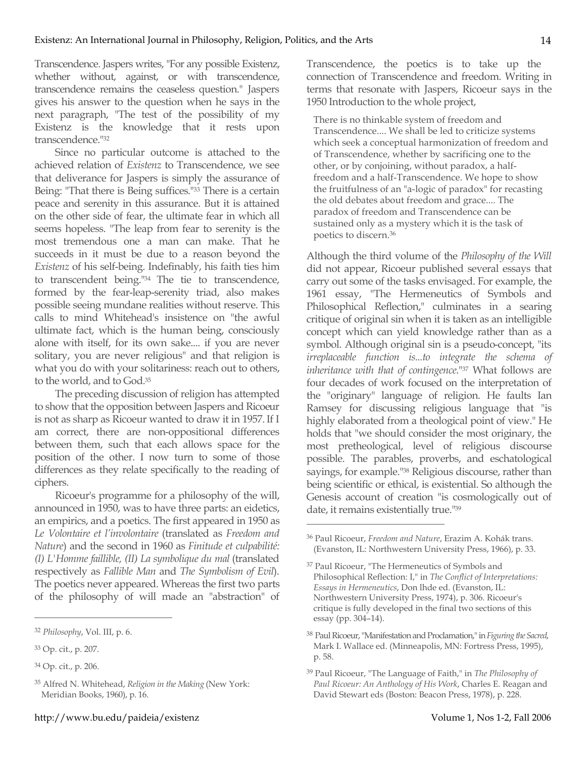Transcendence. Jaspers writes, "For any possible Existenz, whether without, against, or with transcendence, transcendence remains the ceaseless question." Jaspers gives his answer to the question when he says in the next paragraph, "The test of the possibility of my Existenz is the knowledge that it rests upon transcendence."32

Since no particular outcome is attached to the achieved relation of *Existenz* to Transcendence, we see that deliverance for Jaspers is simply the assurance of Being: "That there is Being suffices."<sup>33</sup> There is a certain peace and serenity in this assurance. But it is attained on the other side of fear, the ultimate fear in which all seems hopeless. "The leap from fear to serenity is the most tremendous one a man can make. That he succeeds in it must be due to a reason beyond the *Existenz* of his self-being. Indefinably, his faith ties him to transcendent being."34 The tie to transcendence, formed by the fear-leap-serenity triad, also makes possible seeing mundane realities without reserve. This calls to mind Whitehead's insistence on "the awful ultimate fact, which is the human being, consciously alone with itself, for its own sake.... if you are never solitary, you are never religious" and that religion is what you do with your solitariness: reach out to others, to the world, and to God.35

The preceding discussion of religion has attempted to show that the opposition between Jaspers and Ricoeur is not as sharp as Ricoeur wanted to draw it in 1957. If I am correct, there are non-oppositional differences between them, such that each allows space for the position of the other. I now turn to some of those differences as they relate specifically to the reading of ciphers.

Ricoeur's programme for a philosophy of the will, announced in 1950, was to have three parts: an eidetics, an empirics, and a poetics. The first appeared in 1950 as *Le Volontaire et l'involontaire* (translated as *Freedom and Nature*) and the second in 1960 as *Finitude et culpabilité: (I) L'Homme faillible, (II) La symbolique du mal* (translated respectively as *Fallible Man* and *The Symbolism of Evil*). The poetics never appeared. Whereas the first two parts of the philosophy of will made an "abstraction" of

 $\overline{a}$ 

Transcendence, the poetics is to take up the connection of Transcendence and freedom. Writing in terms that resonate with Jaspers, Ricoeur says in the 1950 Introduction to the whole project,

There is no thinkable system of freedom and Transcendence.... We shall be led to criticize systems which seek a conceptual harmonization of freedom and of Transcendence, whether by sacrificing one to the other, or by conjoining, without paradox, a halffreedom and a half-Transcendence. We hope to show the fruitfulness of an "a-logic of paradox" for recasting the old debates about freedom and grace.... The paradox of freedom and Transcendence can be sustained only as a mystery which it is the task of poetics to discern.36

Although the third volume of the *Philosophy of the Will* did not appear, Ricoeur published several essays that carry out some of the tasks envisaged. For example, the 1961 essay, "The Hermeneutics of Symbols and Philosophical Reflection," culminates in a searing critique of original sin when it is taken as an intelligible concept which can yield knowledge rather than as a symbol. Although original sin is a pseudo-concept, "its *irreplaceable function is...to integrate the schema of inheritance with that of contingence*."37 What follows are four decades of work focused on the interpretation of the "originary" language of religion. He faults Ian Ramsey for discussing religious language that "is highly elaborated from a theological point of view." He holds that "we should consider the most originary, the most pretheological, level of religious discourse possible. The parables, proverbs, and eschatological sayings, for example."38 Religious discourse, rather than being scientific or ethical, is existential. So although the Genesis account of creation "is cosmologically out of date, it remains existentially true."39

<sup>32</sup> *Philosophy*, Vol. III, p. 6.

<sup>33</sup> Op. cit., p. 207.

<sup>34</sup> Op. cit., p. 206.

<sup>35</sup> Alfred N. Whitehead, *Religion in the Making* (New York: Meridian Books, 1960), p. 16.

<sup>36</sup> Paul Ricoeur, *Freedom and Nature*, Erazim A. Kohák trans. (Evanston, IL: Northwestern University Press, 1966), p. 33.

<sup>&</sup>lt;sup>37</sup> Paul Ricoeur, "The Hermeneutics of Symbols and Philosophical Reflection: I," in *The Conflict of Interpretations: Essays in Hermeneutics*, Don lhde ed. (Evanston, IL: Northwestern University Press, 1974), p. 306. Ricoeur's critique is fully developed in the final two sections of this essay (pp. 304–14).

<sup>38</sup> Paul Ricoeur, "Manifestation and Proclamation," in *Figuring the Sacred*, Mark I. Wallace ed. (Minneapolis, MN: Fortress Press, 1995), p. 58.

<sup>39</sup> Paul Ricoeur, "The Language of Faith," in *The Philosophy of Paul Ricoeur: An Anthology of His Work*, Charles E. Reagan and David Stewart eds (Boston: Beacon Press, 1978), p. 228.